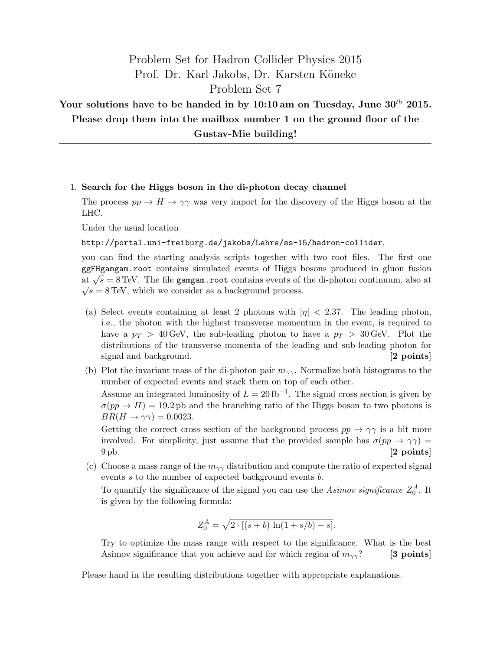# Problem Set for Hadron Collider Physics 2015 Prof. Dr. Karl Jakobs, Dr. Karsten Köneke Problem Set 7

## Your solutions have to be handed in by  $10:10$  am on Tuesday, June  $30<sup>th</sup>$  2015. Please drop them into the mailbox number 1 on the ground floor of the Gustav-Mie building!

#### 1. Search for the Higgs boson in the di-photon decay channel

The process  $pp \to H \to \gamma\gamma$  was very import for the discovery of the Higgs boson at the LHC.

Under the usual location

#### http://portal.uni-freiburg.de/jakobs/Lehre/ss-15/hadron-collider,

you can find the starting analysis scripts together with two root files. The first one ggFHgamgam.root contains simulated events of Higgs bosons produced in gluon fusion ggrigal and  $\sqrt{s} = 8$  TeV. The file gamgam.root contains events of the di-photon continuum, also at  $\sqrt{s} = 8$  TeV, which we consider as a background process.

- (a) Select events containing at least 2 photons with  $|\eta| < 2.37$ . The leading photon, i.e., the photon with the highest transverse momentum in the event, is required to have a  $p_T > 40$  GeV, the sub-leading photon to have a  $p_T > 30$  GeV. Plot the distributions of the transverse momenta of the leading and sub-leading photon for signal and background. [2 points]
- (b) Plot the invariant mass of the di-photon pair  $m_{\gamma\gamma}$ . Normalize both histograms to the number of expected events and stack them on top of each other.

Assume an integrated luminosity of  $L = 20$  fb<sup>-1</sup>. The signal cross section is given by  $\sigma(pp \to H) = 19.2 \text{ pb}$  and the branching ratio of the Higgs boson to two photons is  $BR(H \to \gamma\gamma) = 0.0023$ .

Getting the correct cross section of the background process  $pp \to \gamma\gamma$  is a bit more involved. For simplicity, just assume that the provided sample has  $\sigma(pp \to \gamma\gamma)$  $9 \text{ pb}$ . [2 points]

(c) Choose a mass range of the  $m_{\gamma\gamma}$  distribution and compute the ratio of expected signal events s to the number of expected background events b.

To quantify the significance of the signal you can use the  $Asimov$  significance  $Z_0^A$ . It is given by the following formula:

$$
Z_0^A = \sqrt{2 \cdot [(s+b) \ln(1+s/b) - s]}.
$$

Try to optimize the mass range with respect to the significance. What is the best Asimov significance that you achieve and for which region of  $m_{\gamma\gamma}$ ? [3 points]

Please hand in the resulting distributions together with appropriate explanations.